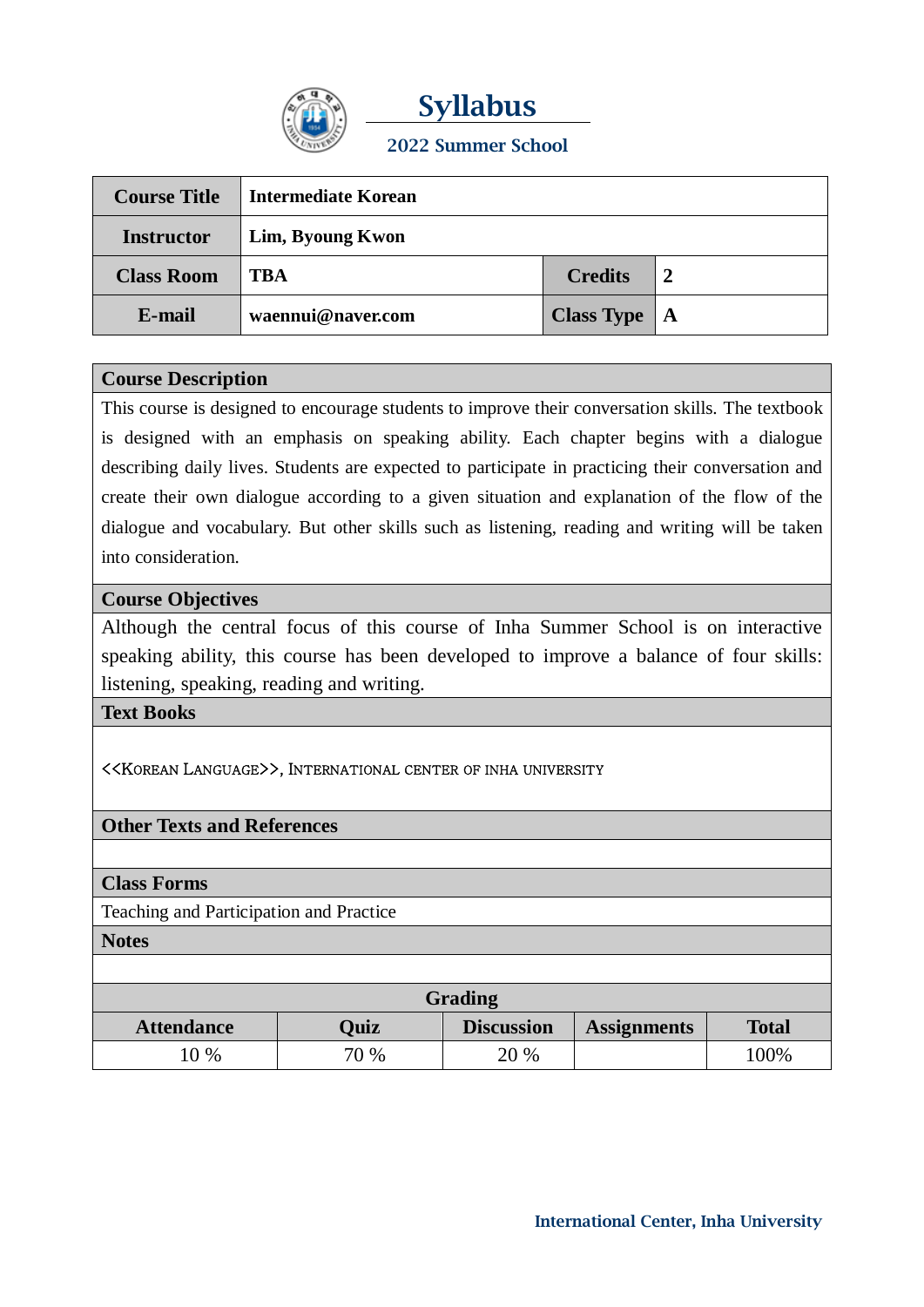

**Syllabus 2022 Summer School**

| <b>Course Title</b> | Intermediate Korean |                  |                |
|---------------------|---------------------|------------------|----------------|
| <b>Instructor</b>   | Lim, Byoung Kwon    |                  |                |
| <b>Class Room</b>   | <b>TBA</b>          | <b>Credits</b>   | $\overline{2}$ |
| E-mail              | waennui@naver.com   | Class Type $ A $ |                |

## **Course Description**

This course is designed to encourage students to improve their conversation skills. The textbook is designed with an emphasis on speaking ability. Each chapter begins with a dialogue describing daily lives. Students are expected to participate in practicing their conversation and create their own dialogue according to a given situation and explanation of the flow of the dialogue and vocabulary. But other skills such as listening, reading and writing will be taken into consideration.

## **Course Objectives**

Although the central focus of this course of Inha Summer School is on interactive speaking ability, this course has been developed to improve a balance of four skills: listening, speaking, reading and writing.

#### **Text Books**

#### <<KOREAN LANGUAGE>>, INTERNATIONAL CENTER OF INHA UNIVERSITY

## **Other Texts and References**

#### **Class Forms**

Teaching and Participation and Practice

**Notes**

| Grading           |             |                   |                    |              |  |
|-------------------|-------------|-------------------|--------------------|--------------|--|
| <b>Attendance</b> | <b>Ouiz</b> | <b>Discussion</b> | <b>Assignments</b> | <b>Total</b> |  |
| $0\%$             | 70 %        | 20 %              |                    | $00\%$       |  |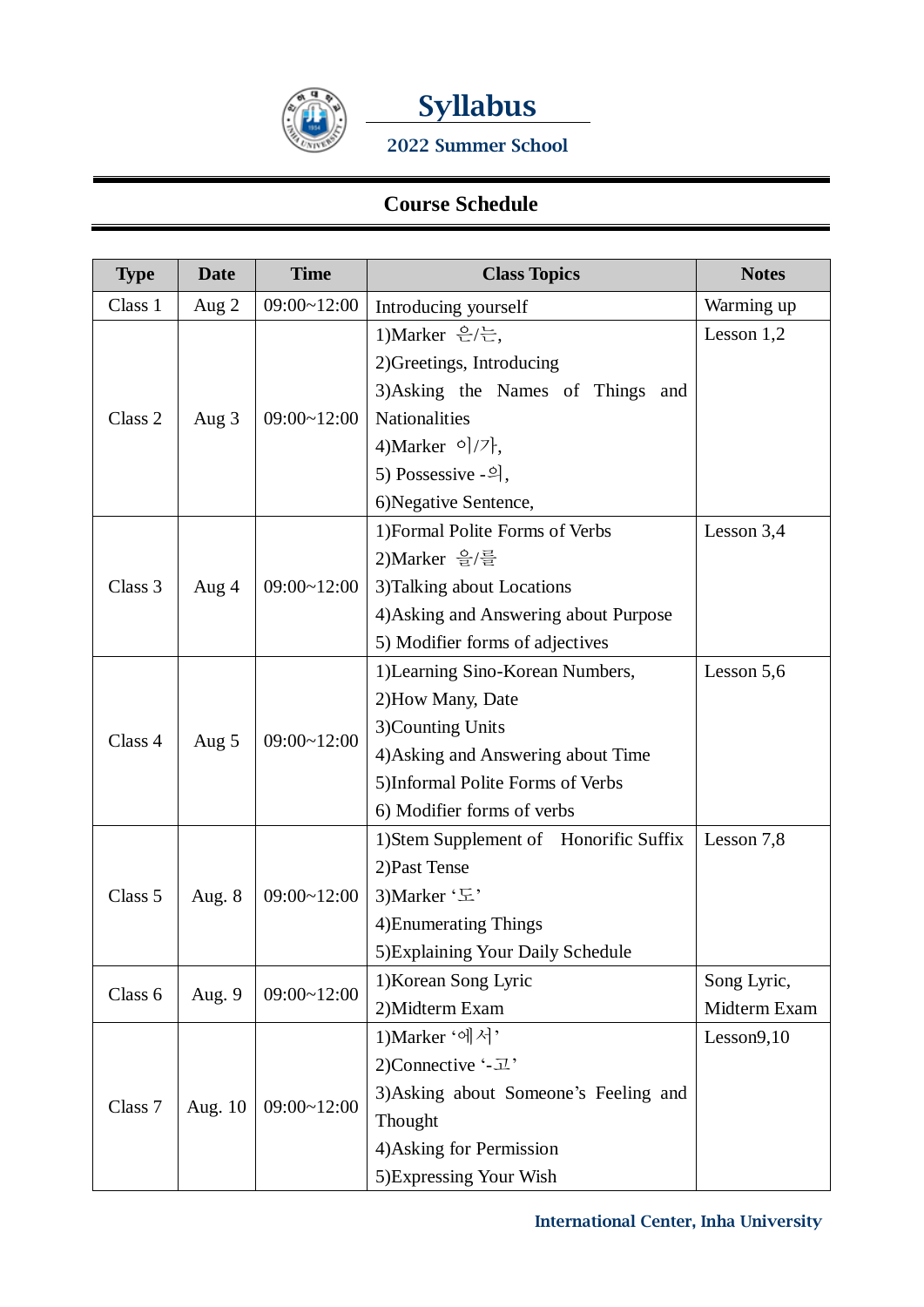



**2022 Summer School**

# **Course Schedule**

| <b>Type</b> | <b>Date</b> | <b>Time</b>        | <b>Class Topics</b>                    | <b>Notes</b> |
|-------------|-------------|--------------------|----------------------------------------|--------------|
| Class 1     | Aug 2       | 09:00~12:00        | Introducing yourself                   | Warming up   |
|             |             | 09:00~12:00        | 1) Marker 은/는,                         | Lesson $1,2$ |
|             |             |                    | 2) Greetings, Introducing              |              |
|             |             |                    | 3) Asking the Names of Things and      |              |
| Class 2     | Aug $3$     |                    | Nationalities                          |              |
|             |             |                    | 4) Marker $\circ$ /7 },                |              |
|             |             |                    | 5) Possessive -의,                      |              |
|             |             |                    | 6) Negative Sentence,                  |              |
| Class 3     |             | $09:00 \sim 12:00$ | 1) Formal Polite Forms of Verbs        | Lesson $3,4$ |
|             |             |                    | 2)Marker 을/를                           |              |
|             | Aug 4       |                    | 3) Talking about Locations             |              |
|             |             |                    | 4) Asking and Answering about Purpose  |              |
|             |             |                    | 5) Modifier forms of adjectives        |              |
| Class 4     |             |                    | 1) Learning Sino-Korean Numbers,       | Lesson 5,6   |
|             |             |                    | 2) How Many, Date                      |              |
|             |             | 09:00~12:00        | 3)Counting Units                       |              |
|             | Aug $5$     |                    | 4) Asking and Answering about Time     |              |
|             |             |                    | 5) Informal Polite Forms of Verbs      |              |
|             |             |                    | 6) Modifier forms of verbs             |              |
|             | Aug. $8$    | 09:00~12:00        | 1) Stem Supplement of Honorific Suffix | Lesson 7,8   |
|             |             |                    | 2) Past Tense                          |              |
| Class 5     |             |                    | 3) Marker '도'                          |              |
|             |             |                    | 4) Enumerating Things                  |              |
|             |             |                    | 5) Explaining Your Daily Schedule      |              |
| Class 6     | Aug. 9      | 09:00~12:00        | 1) Korean Song Lyric                   | Song Lyric,  |
|             |             |                    | 2) Midterm Exam                        | Midterm Exam |
|             | Aug. 10     | 09:00~12:00        | 1) Marker '에서'                         | Lesson9,10   |
| Class 7     |             |                    | 2)Connective '-고'                      |              |
|             |             |                    | 3) Asking about Someone's Feeling and  |              |
|             |             |                    | Thought                                |              |
|             |             |                    | 4) Asking for Permission               |              |
|             |             |                    | 5) Expressing Your Wish                |              |